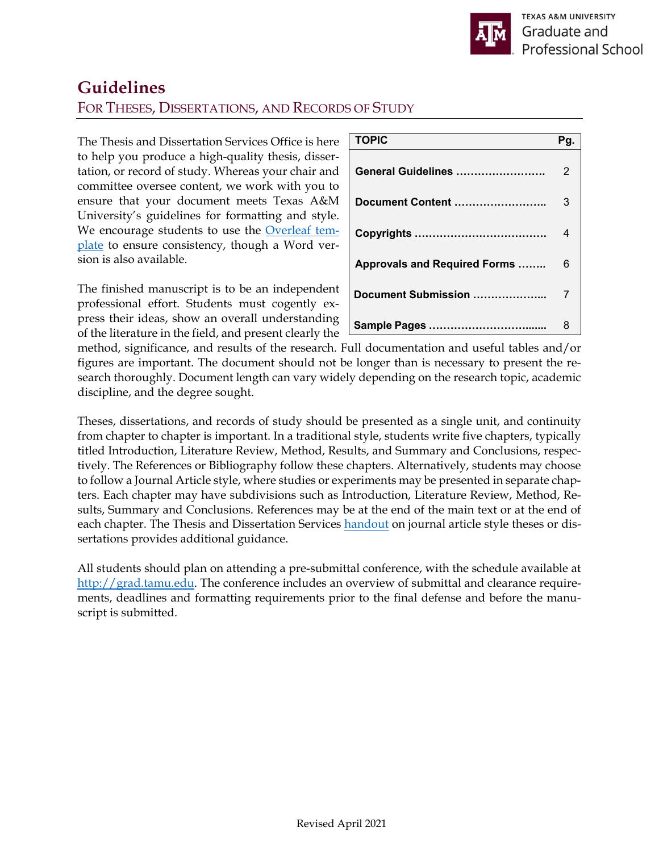# **Guidelines**  FOR THESES, DISSERTATIONS, AND RECORDS OF STUDY

The Thesis and Dissertation Services Office is here to help you produce a high-quality thesis, dissertation, or record of study. Whereas your chair and committee oversee content, we work with you to ensure that your document meets Texas A&M University's guidelines for formatting and style. We encourage students to use the Overleaf template to ensure consistency, though a Word version is also available.

The finished manuscript is to be an independent professional effort. Students must cogently express their ideas, show an overall understanding of the literature in the field, and present clearly the

| <b>TOPIC</b>                         | Pα |
|--------------------------------------|----|
| General Guidelines                   | 2  |
| Document Content                     | 3  |
|                                      | 4  |
| <b>Approvals and Required Forms </b> | 6  |
| Document Submission                  |    |
|                                      | 8  |

method, significance, and results of the research. Full documentation and useful tables and/or figures are important. The document should not be longer than is necessary to present the research thoroughly. Document length can vary widely depending on the research topic, academic discipline, and the degree sought.

Theses, dissertations, and records of study should be presented as a single unit, and continuity from chapter to chapter is important. In a traditional style, students write five chapters, typically titled Introduction, Literature Review, Method, Results, and Summary and Conclusions, respectively. The References or Bibliography follow these chapters. Alternatively, students may choose to follow a Journal Article style, where studies or experiments may be presented in separate chapters. Each chapter may have subdivisions such as Introduction, Literature Review, Method, Results, Summary and Conclusions. References may be at the end of the main text or at the end of each chapter. The Thesis and Dissertation Services handout on journal article style theses or dissertations provides additional guidance.

All students should plan on attending a pre-submittal conference, with the schedule available at http://grad.tamu.edu. The conference includes an overview of submittal and clearance requirements, deadlines and formatting requirements prior to the final defense and before the manuscript is submitted.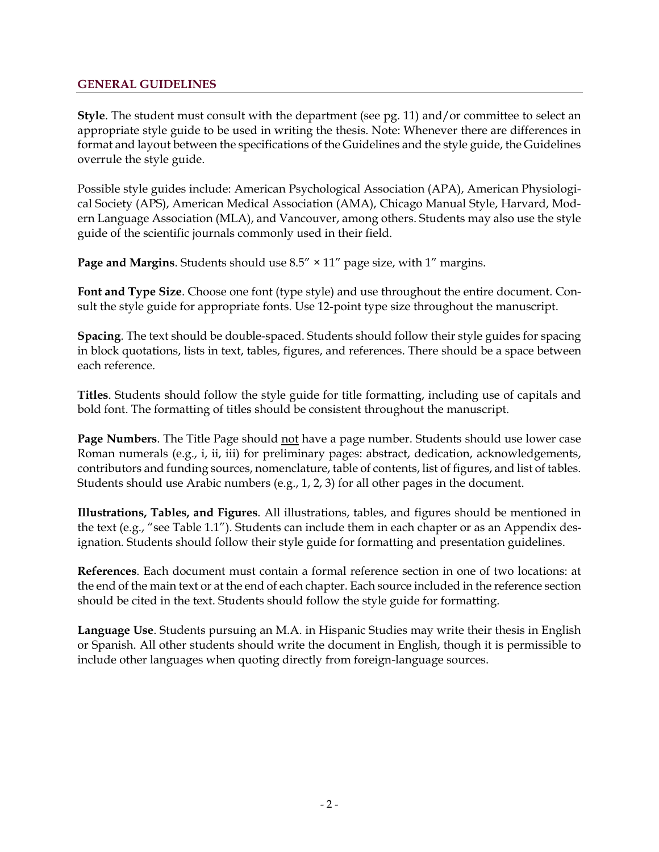## **GENERAL GUIDELINES**

**Style**. The student must consult with the department (see pg. 11) and/or committee to select an appropriate style guide to be used in writing the thesis. Note: Whenever there are differences in format and layout between the specifications of the Guidelines and the style guide, the Guidelines overrule the style guide.

Possible style guides include: American Psychological Association (APA), American Physiological Society (APS), American Medical Association (AMA), Chicago Manual Style, Harvard, Modern Language Association (MLA), and Vancouver, among others. Students may also use the style guide of the scientific journals commonly used in their field.

**Page and Margins**. Students should use 8.5" × 11" page size, with 1" margins.

**Font and Type Size**. Choose one font (type style) and use throughout the entire document. Consult the style guide for appropriate fonts. Use 12-point type size throughout the manuscript.

**Spacing**. The text should be double-spaced. Students should follow their style guides for spacing in block quotations, lists in text, tables, figures, and references. There should be a space between each reference.

**Titles**. Students should follow the style guide for title formatting, including use of capitals and bold font. The formatting of titles should be consistent throughout the manuscript.

**Page Numbers**. The Title Page should not have a page number. Students should use lower case Roman numerals (e.g., i, ii, iii) for preliminary pages: abstract, dedication, acknowledgements, contributors and funding sources, nomenclature, table of contents, list of figures, and list of tables. Students should use Arabic numbers (e.g., 1, 2, 3) for all other pages in the document.

**Illustrations, Tables, and Figures**. All illustrations, tables, and figures should be mentioned in the text (e.g., "see Table 1.1"). Students can include them in each chapter or as an Appendix designation. Students should follow their style guide for formatting and presentation guidelines.

**References**. Each document must contain a formal reference section in one of two locations: at the end of the main text or at the end of each chapter. Each source included in the reference section should be cited in the text. Students should follow the style guide for formatting.

**Language Use**. Students pursuing an M.A. in Hispanic Studies may write their thesis in English or Spanish. All other students should write the document in English, though it is permissible to include other languages when quoting directly from foreign-language sources.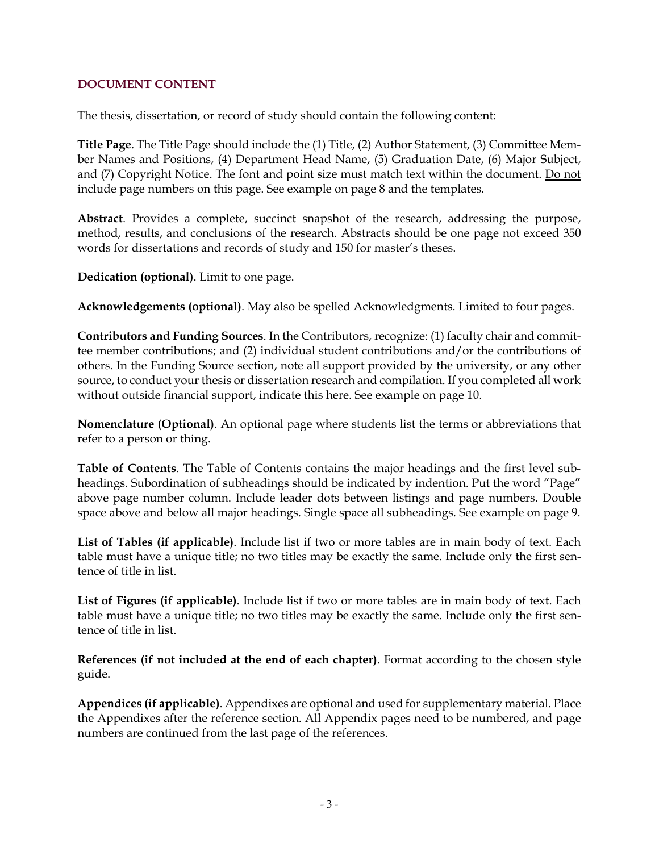## **DOCUMENT CONTENT**

The thesis, dissertation, or record of study should contain the following content:

**Title Page**. The Title Page should include the (1) Title, (2) Author Statement, (3) Committee Member Names and Positions, (4) Department Head Name, (5) Graduation Date, (6) Major Subject, and (7) Copyright Notice. The font and point size must match text within the document. Do not include page numbers on this page. See example on page 8 and the templates.

**Abstract**. Provides a complete, succinct snapshot of the research, addressing the purpose, method, results, and conclusions of the research. Abstracts should be one page not exceed 350 words for dissertations and records of study and 150 for master's theses.

**Dedication (optional)**. Limit to one page.

**Acknowledgements (optional)**. May also be spelled Acknowledgments. Limited to four pages.

**Contributors and Funding Sources**. In the Contributors, recognize: (1) faculty chair and committee member contributions; and (2) individual student contributions and/or the contributions of others. In the Funding Source section, note all support provided by the university, or any other source, to conduct your thesis or dissertation research and compilation. If you completed all work without outside financial support, indicate this here. See example on page 10.

**Nomenclature (Optional)**. An optional page where students list the terms or abbreviations that refer to a person or thing.

**Table of Contents**. The Table of Contents contains the major headings and the first level subheadings. Subordination of subheadings should be indicated by indention. Put the word "Page" above page number column. Include leader dots between listings and page numbers. Double space above and below all major headings. Single space all subheadings. See example on page 9.

**List of Tables (if applicable)**. Include list if two or more tables are in main body of text. Each table must have a unique title; no two titles may be exactly the same. Include only the first sentence of title in list.

**List of Figures (if applicable)**. Include list if two or more tables are in main body of text. Each table must have a unique title; no two titles may be exactly the same. Include only the first sentence of title in list.

**References (if not included at the end of each chapter)**. Format according to the chosen style guide.

**Appendices (if applicable)**. Appendixes are optional and used for supplementary material. Place the Appendixes after the reference section. All Appendix pages need to be numbered, and page numbers are continued from the last page of the references.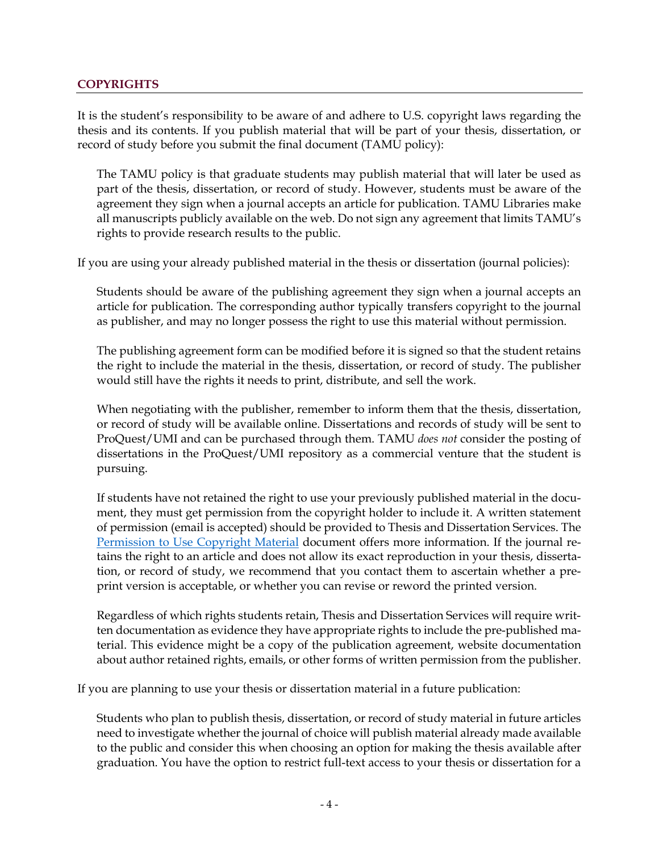### **COPYRIGHTS**

It is the student's responsibility to be aware of and adhere to U.S. copyright laws regarding the thesis and its contents. If you publish material that will be part of your thesis, dissertation, or record of study before you submit the final document (TAMU policy):

The TAMU policy is that graduate students may publish material that will later be used as part of the thesis, dissertation, or record of study. However, students must be aware of the agreement they sign when a journal accepts an article for publication. TAMU Libraries make all manuscripts publicly available on the web. Do not sign any agreement that limits TAMU's rights to provide research results to the public.

If you are using your already published material in the thesis or dissertation (journal policies):

Students should be aware of the publishing agreement they sign when a journal accepts an article for publication. The corresponding author typically transfers copyright to the journal as publisher, and may no longer possess the right to use this material without permission.

The publishing agreement form can be modified before it is signed so that the student retains the right to include the material in the thesis, dissertation, or record of study. The publisher would still have the rights it needs to print, distribute, and sell the work.

When negotiating with the publisher, remember to inform them that the thesis, dissertation, or record of study will be available online. Dissertations and records of study will be sent to ProQuest/UMI and can be purchased through them. TAMU *does not* consider the posting of dissertations in the ProQuest/UMI repository as a commercial venture that the student is pursuing.

If students have not retained the right to use your previously published material in the document, they must get permission from the copyright holder to include it. A written statement of permission (email is accepted) should be provided to Thesis and Dissertation Services. The Permission to Use Copyright Material document offers more information. If the journal retains the right to an article and does not allow its exact reproduction in your thesis, dissertation, or record of study, we recommend that you contact them to ascertain whether a preprint version is acceptable, or whether you can revise or reword the printed version.

Regardless of which rights students retain, Thesis and Dissertation Services will require written documentation as evidence they have appropriate rights to include the pre-published material. This evidence might be a copy of the publication agreement, website documentation about author retained rights, emails, or other forms of written permission from the publisher.

If you are planning to use your thesis or dissertation material in a future publication:

Students who plan to publish thesis, dissertation, or record of study material in future articles need to investigate whether the journal of choice will publish material already made available to the public and consider this when choosing an option for making the thesis available after graduation. You have the option to restrict full-text access to your thesis or dissertation for a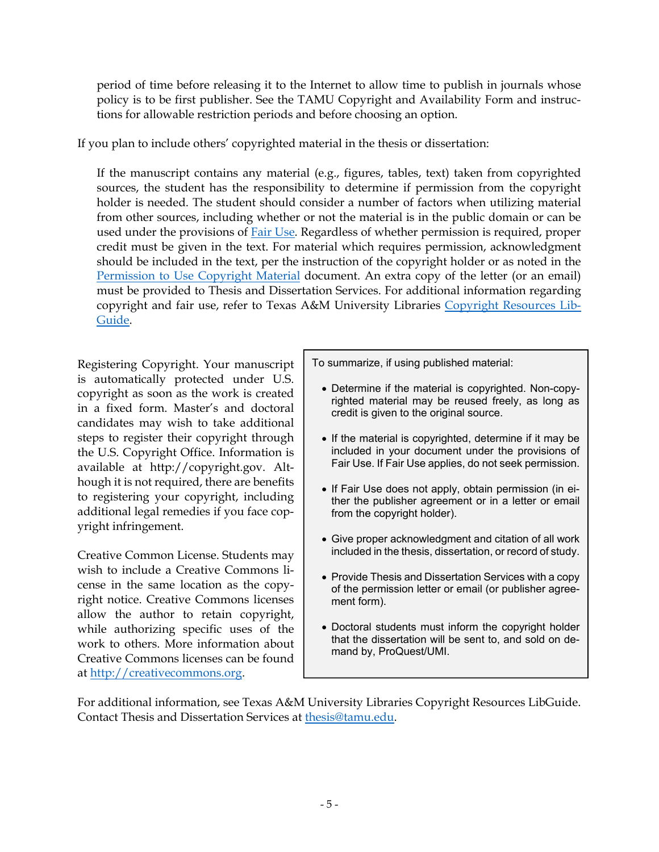period of time before releasing it to the Internet to allow time to publish in journals whose policy is to be first publisher. See the TAMU Copyright and Availability Form and instructions for allowable restriction periods and before choosing an option.

If you plan to include others' copyrighted material in the thesis or dissertation:

If the manuscript contains any material (e.g., figures, tables, text) taken from copyrighted sources, the student has the responsibility to determine if permission from the copyright holder is needed. The student should consider a number of factors when utilizing material from other sources, including whether or not the material is in the public domain or can be used under the provisions of Fair Use. Regardless of whether permission is required, proper credit must be given in the text. For material which requires permission, acknowledgment should be included in the text, per the instruction of the copyright holder or as noted in the Permission to Use Copyright Material document. An extra copy of the letter (or an email) must be provided to Thesis and Dissertation Services. For additional information regarding copyright and fair use, refer to Texas A&M University Libraries Copyright Resources Lib-Guide.

Registering Copyright. Your manuscript is automatically protected under U.S. copyright as soon as the work is created in a fixed form. Master's and doctoral candidates may wish to take additional steps to register their copyright through the U.S. Copyright Office. Information is available at http://copyright.gov. Although it is not required, there are benefits to registering your copyright, including additional legal remedies if you face copyright infringement.

Creative Common License. Students may wish to include a Creative Commons license in the same location as the copyright notice. Creative Commons licenses allow the author to retain copyright, while authorizing specific uses of the work to others. More information about Creative Commons licenses can be found at http://creativecommons.org.

To summarize, if using published material:

- Determine if the material is copyrighted. Non-copyrighted material may be reused freely, as long as credit is given to the original source.
- If the material is copyrighted, determine if it may be included in your document under the provisions of Fair Use. If Fair Use applies, do not seek permission.
- If Fair Use does not apply, obtain permission (in either the publisher agreement or in a letter or email from the copyright holder).
- Give proper acknowledgment and citation of all work included in the thesis, dissertation, or record of study.
- Provide Thesis and Dissertation Services with a copy of the permission letter or email (or publisher agreement form).
- Doctoral students must inform the copyright holder that the dissertation will be sent to, and sold on demand by, ProQuest/UMI.

For additional information, see Texas A&M University Libraries Copyright Resources LibGuide. Contact Thesis and Dissertation Services at thesis@tamu.edu.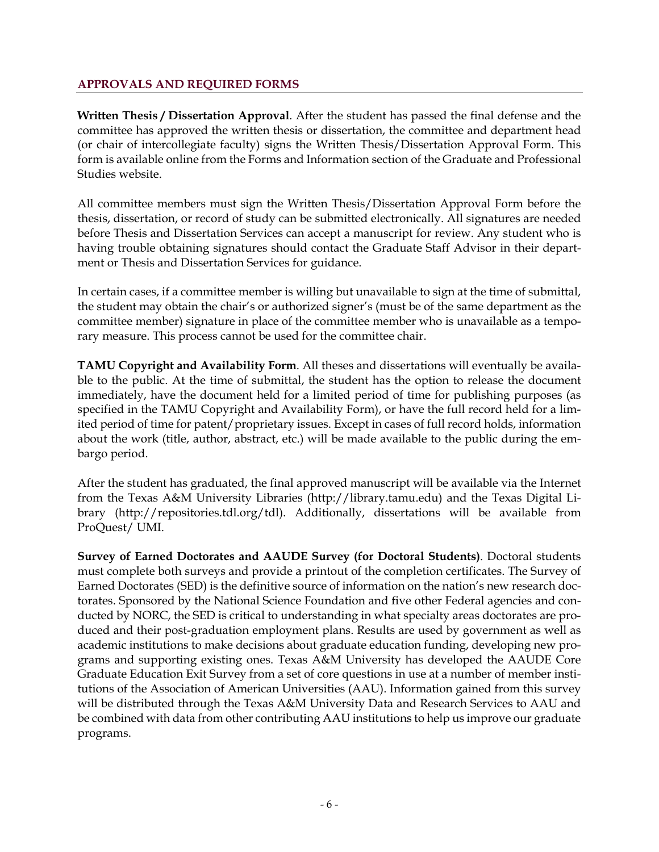# **APPROVALS AND REQUIRED FORMS**

**Written Thesis / Dissertation Approval**. After the student has passed the final defense and the committee has approved the written thesis or dissertation, the committee and department head (or chair of intercollegiate faculty) signs the Written Thesis/Dissertation Approval Form. This form is available online from the Forms and Information section of the Graduate and Professional Studies website.

All committee members must sign the Written Thesis/Dissertation Approval Form before the thesis, dissertation, or record of study can be submitted electronically. All signatures are needed before Thesis and Dissertation Services can accept a manuscript for review. Any student who is having trouble obtaining signatures should contact the Graduate Staff Advisor in their department or Thesis and Dissertation Services for guidance.

In certain cases, if a committee member is willing but unavailable to sign at the time of submittal, the student may obtain the chair's or authorized signer's (must be of the same department as the committee member) signature in place of the committee member who is unavailable as a temporary measure. This process cannot be used for the committee chair.

**TAMU Copyright and Availability Form**. All theses and dissertations will eventually be available to the public. At the time of submittal, the student has the option to release the document immediately, have the document held for a limited period of time for publishing purposes (as specified in the TAMU Copyright and Availability Form), or have the full record held for a limited period of time for patent/proprietary issues. Except in cases of full record holds, information about the work (title, author, abstract, etc.) will be made available to the public during the embargo period.

After the student has graduated, the final approved manuscript will be available via the Internet from the Texas A&M University Libraries (http://library.tamu.edu) and the Texas Digital Library (http://repositories.tdl.org/tdl). Additionally, dissertations will be available from ProQuest/ UMI.

**Survey of Earned Doctorates and AAUDE Survey (for Doctoral Students)**. Doctoral students must complete both surveys and provide a printout of the completion certificates. The Survey of Earned Doctorates (SED) is the definitive source of information on the nation's new research doctorates. Sponsored by the National Science Foundation and five other Federal agencies and conducted by NORC, the SED is critical to understanding in what specialty areas doctorates are produced and their post-graduation employment plans. Results are used by government as well as academic institutions to make decisions about graduate education funding, developing new programs and supporting existing ones. Texas A&M University has developed the AAUDE Core Graduate Education Exit Survey from a set of core questions in use at a number of member institutions of the Association of American Universities (AAU). Information gained from this survey will be distributed through the Texas A&M University Data and Research Services to AAU and be combined with data from other contributing AAU institutions to help us improve our graduate programs.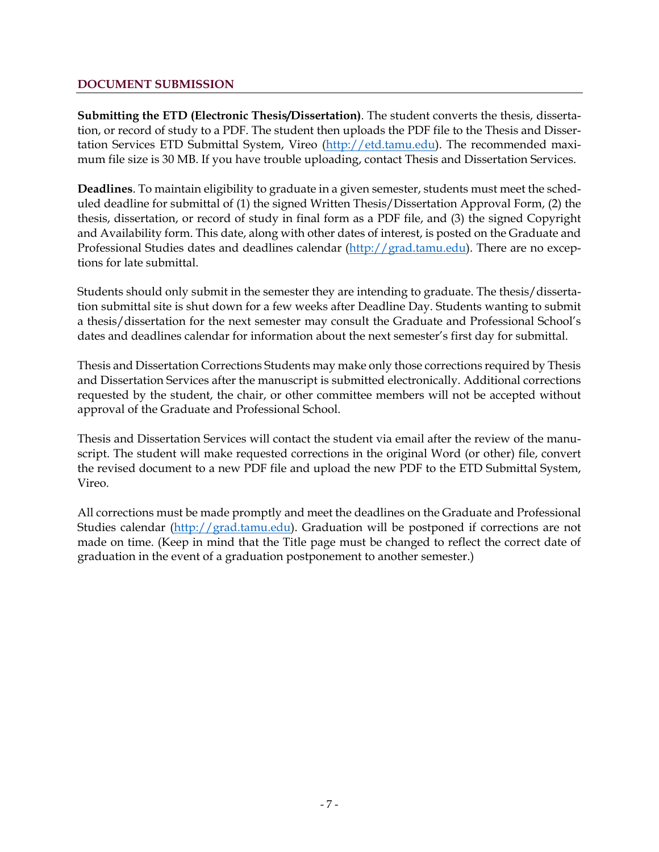#### **DOCUMENT SUBMISSION**

**Submitting the ETD (Electronic Thesis/Dissertation)**. The student converts the thesis, dissertation, or record of study to a PDF. The student then uploads the PDF file to the Thesis and Dissertation Services ETD Submittal System, Vireo (http://etd.tamu.edu). The recommended maximum file size is 30 MB. If you have trouble uploading, contact Thesis and Dissertation Services.

**Deadlines**. To maintain eligibility to graduate in a given semester, students must meet the scheduled deadline for submittal of (1) the signed Written Thesis/Dissertation Approval Form, (2) the thesis, dissertation, or record of study in final form as a PDF file, and (3) the signed Copyright and Availability form. This date, along with other dates of interest, is posted on the Graduate and Professional Studies dates and deadlines calendar (http://grad.tamu.edu). There are no exceptions for late submittal.

Students should only submit in the semester they are intending to graduate. The thesis/dissertation submittal site is shut down for a few weeks after Deadline Day. Students wanting to submit a thesis/dissertation for the next semester may consult the Graduate and Professional School's dates and deadlines calendar for information about the next semester's first day for submittal.

Thesis and Dissertation Corrections Students may make only those corrections required by Thesis and Dissertation Services after the manuscript is submitted electronically. Additional corrections requested by the student, the chair, or other committee members will not be accepted without approval of the Graduate and Professional School.

Thesis and Dissertation Services will contact the student via email after the review of the manuscript. The student will make requested corrections in the original Word (or other) file, convert the revised document to a new PDF file and upload the new PDF to the ETD Submittal System, Vireo.

All corrections must be made promptly and meet the deadlines on the Graduate and Professional Studies calendar (http://grad.tamu.edu). Graduation will be postponed if corrections are not made on time. (Keep in mind that the Title page must be changed to reflect the correct date of graduation in the event of a graduation postponement to another semester.)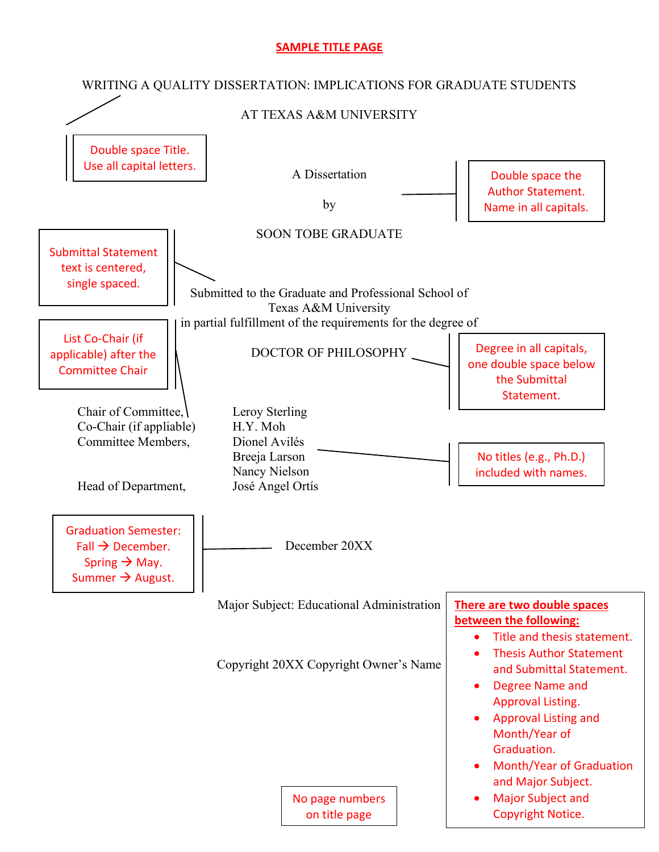# **SAMPLE TITLE PAGE**

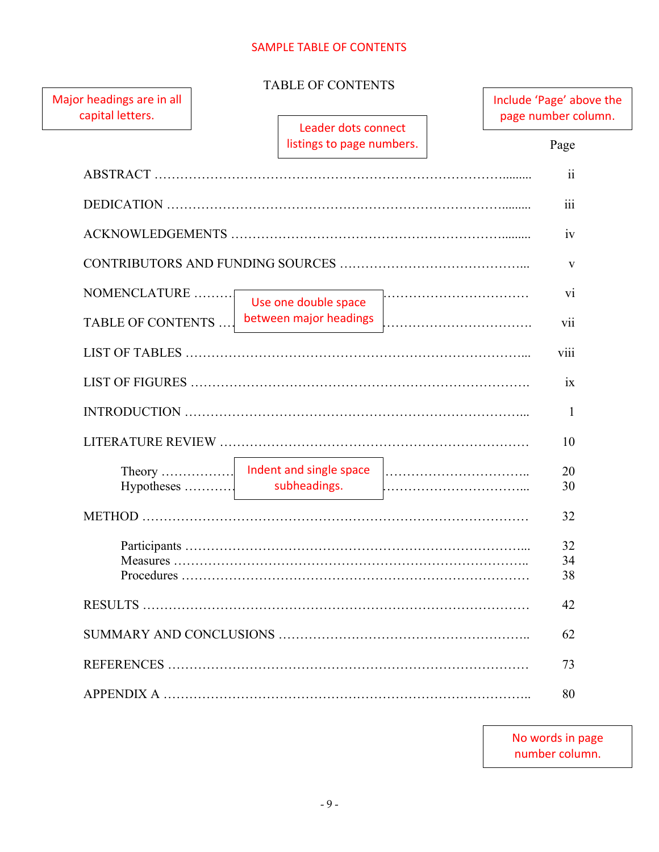# SAMPLE TABLE OF CONTENTS

| Major headings are in all<br>capital letters. |                                                  | Include 'Page' above the<br>page number column. |
|-----------------------------------------------|--------------------------------------------------|-------------------------------------------------|
|                                               | Leader dots connect<br>listings to page numbers. | Page                                            |
|                                               |                                                  | $\overline{\textbf{ii}}$                        |
|                                               |                                                  | iii                                             |
|                                               |                                                  | iv                                              |
|                                               |                                                  | V                                               |
| NOMENCLATURE                                  | Use one double space                             | V1                                              |
| TABLE OF CONTENTS                             | between major headings                           | vii                                             |
|                                               |                                                  | viii                                            |
|                                               |                                                  | ix                                              |
|                                               |                                                  | 1                                               |
|                                               |                                                  | 10                                              |
|                                               | Theory   Indent and single space                 | 20                                              |
| $Hypotheses$                                  | subheadings.                                     | 30                                              |
|                                               |                                                  | 32                                              |
|                                               |                                                  | 32                                              |
|                                               |                                                  | 34                                              |
|                                               |                                                  | 38                                              |
|                                               |                                                  | 42                                              |
|                                               |                                                  | 62                                              |
|                                               |                                                  | 73                                              |
|                                               |                                                  | 80                                              |

No words in page number column.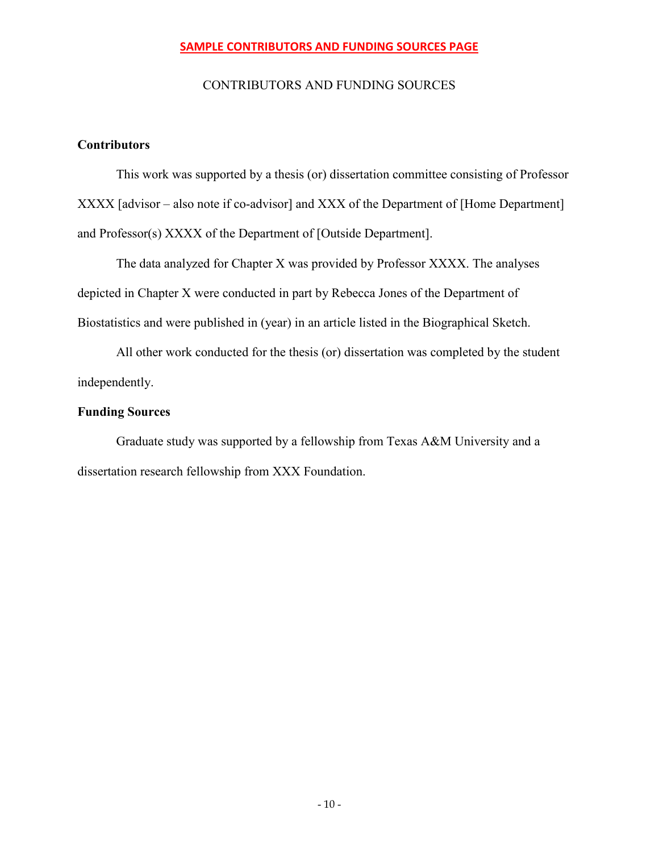# **SAMPLE CONTRIBUTORS AND FUNDING SOURCES PAGE**

# CONTRIBUTORS AND FUNDING SOURCES

# **Contributors**

This work was supported by a thesis (or) dissertation committee consisting of Professor XXXX [advisor – also note if co-advisor] and XXX of the Department of [Home Department] and Professor(s) XXXX of the Department of [Outside Department].

The data analyzed for Chapter X was provided by Professor XXXX. The analyses depicted in Chapter X were conducted in part by Rebecca Jones of the Department of Biostatistics and were published in (year) in an article listed in the Biographical Sketch.

All other work conducted for the thesis (or) dissertation was completed by the student independently.

# **Funding Sources**

Graduate study was supported by a fellowship from Texas A&M University and a dissertation research fellowship from XXX Foundation.